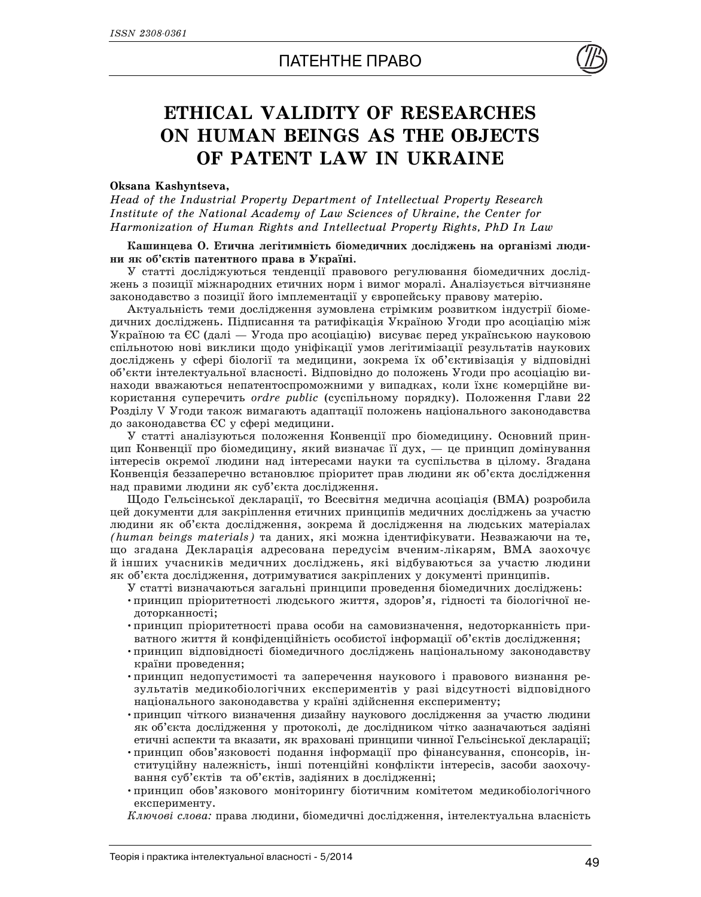

## **ETHICAL VALIDITY OF RESEARCHES ON HUMAN BEINGS AS THE OBJECTS OF PATENT LAW IN UKRAINE**

## **Oksana Kashyntseva,**

*Head of the Industrial Property Department of Intellectual Property Research Institute of the National Academy of Law Sciences of Ukraine, the Center for Harmonization of Human Rights and Intellectual Property Rights, PhD In Law*

## Кашинцева О. Етична легітимність біомедичних досліджень на організмі людини як об'єктів патентного права в Україні.

У статті досліджуються тенденції правового регулювання біомедичних досліджень з позиції міжнародних етичних норм і вимог моралі. Аналізується вітчизняне законодавство з позиції його імплементації у європейську правову матерію.

Актуальність теми дослідження зумовлена стрімким розвитком індустрії біомедичних досліджень. Підписання та ратифікація Україною Угоди про асоціацію між Україною та ЄС (далі — Угода про асоціацію) висуває перед українською науковою спільнотою нові виклики щодо уніфікації умов легітимізації результатів наукових досліджень у сфері біології та медицини, зокрема їх об'єктивізація у відповідні об'єкти інтелектуальної власності. Відповідно до положень Угоди про асоціацію винаходи вважаються непатентоспроможними у випадках, коли їхнє комерційне використання суперечить ordre public (суспільному порядку). Положення Глави 22 Розділу V Угоди також вимагають адаптації положень національного законодавства до законодавства ЄС у сфері медицини.

У статті аналізуються положення Конвенції про біомедицину. Основний принцип Конвенції про біомедицину, який визначає її дух, — це принцип домінування інтересів окремої людини над інтересами науки та суспільства в цілому. Згадана Конвенція беззаперечно встановлює пріоритет прав людини як об'єкта дослідження над правими людини як суб'єкта дослідження.

Щодо Гельсінської декларації, то Всесвітня медична асоціація (ВМА) розробила цей документи для закріплення етичних принципів медичних досліджень за участю людини як об'єкта дослідження, зокрема й дослідження на людських матеріалах *(human beings materials)* та даних, які можна ідентифікувати. Незважаючи на те, що згадана Декларація адресована передусім вченим-лікарям, ВМА заохочує й інших учасників медичних досліджень, які відбуваються за участю людини як об'єкта дослідження, дотримуватися закріплених у документі принципів.

У статті визначаються загальні принципи проведення біомедичних досліджень:

- принцип пріоритетності людського життя, здоров'я, гідності та біологічної недоторканності:
- принцип пріоритетності права особи на самовизначення, недоторканність приватного життя й конфіденційність особистої інформації об'єктів дослідження;
- принцип відповідності біомедичного досліджень національному законодавству країни проведення;
- •принцип недопустимості та заперечення наукового і правового визнання результатів медикобіологічних експериментів у разі відсутності відповідного національного законолавства у країні злійснення експерименту:
- •принцип чіткого визначення дизайну наукового дослідження за участю людини як об'єкта дослідження у протоколі, де дослідником чітко зазначаються задіяні етичні аспекти та вказати, як враховані принципи чинної Гельсінської декларації;
- •принцип обов'язковості подання інформації про фінансування, спонсорів, інституційну належність, інші потенційні конфлікти інтересів, засоби заохочування суб'єктів та об'єктів, задіяних в дослідженні;
- •принцип обов'язкового моніторингу біотичним комітетом медикобіологічного експерименту.

*Ключові слова:* права людини, біомедичні дослідження, інтелектуальна власність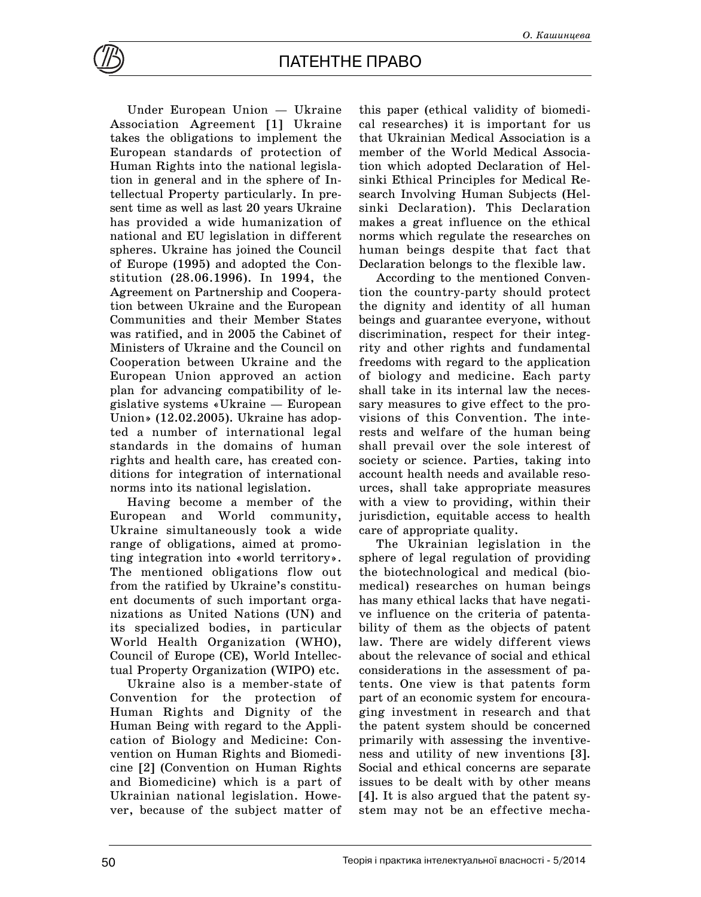Under European Union — Ukraine Association Agreement [1] Ukraine takes the obligations to implement the European standards of protection of Human Rights into the national legislation in general and in the sphere of Intellectual Property particularly. In present time as well as last 20 years Ukraine has provided a wide humanization of national and EU legislation in different spheres. Ukraine has joined the Council of Europe (1995) and adopted the Constitution (28.06.1996). In 1994, the Agreement on Partnership and Cooperation between Ukraine and the European Communities and their Member States was ratified, and in 2005 the Cabinet of Ministers of Ukraine and the Council on Cooperation between Ukraine and the European Union approved an action plan for advancing compatibility of legislative systems «Ukraine — European Union» (12.02.2005). Ukraine has adopted a number of international legal standards in the domains of human rights and health care, has created conditions for integration of international norms into its national legislation.

Having become a member of the European and World community, Ukraine simultaneously took a wide range of obligations, aimed at promoting integration into «world territory». The mentioned obligations flow out from the ratified by Ukraine's constituent documents of such important organizations as United Nations (UN) and its specialized bodies, in particular World Health Organization (WHO), Council of Europe (CE), World Intellectual Property Organization (WIPO) etc.

Ukraine also is a member-state of Convention for the protection of Human Rights and Dignity of the Human Being with regard to the Application of Biology and Medicine: Convention on Human Rights and Biomedicine [2] (Convention on Human Rights and Biomedicine) which is a part of Ukrainian national legislation. However, because of the subject matter of

this paper (ethical validity of biomedical researches) it is important for us that Ukrainian Medical Association is a member of the World Medical Association which adopted Declaration of Helsinki Ethical Principles for Medical Research Involving Human Subjects (Helsinki Declaration). This Declaration makes a great influence on the ethical norms which regulate the researches on human beings despite that fact that Declaration belongs to the flexible law.

According to the mentioned Convention the country-party should protect the dignity and identity of all human beings and guarantee everyone, without discrimination, respect for their integrity and other rights and fundamental freedoms with regard to the application of biology and medicine. Each party shall take in its internal law the necessary measures to give effect to the provisions of this Convention. The interests and welfare of the human being shall prevail over the sole interest of society or science. Parties, taking into account health needs and available resources, shall take appropriate measures with a view to providing, within their jurisdiction, equitable access to health care of appropriate quality.

The Ukrainian legislation in the sphere of legal regulation of providing the biotechnological and medical (biomedical) researches on human beings has many ethical lacks that have negative influence on the criteria of patentability of them as the objects of patent law. There are widely different views about the relevance of social and ethical considerations in the assessment of patents. One view is that patents form part of an economic system for encouraging investment in research and that the patent system should be concerned primarily with assessing the inventiveness and utility of new inventions [3]. Social and ethical concerns are separate issues to be dealt with by other means [4]. It is also argued that the patent system may not be an effective mecha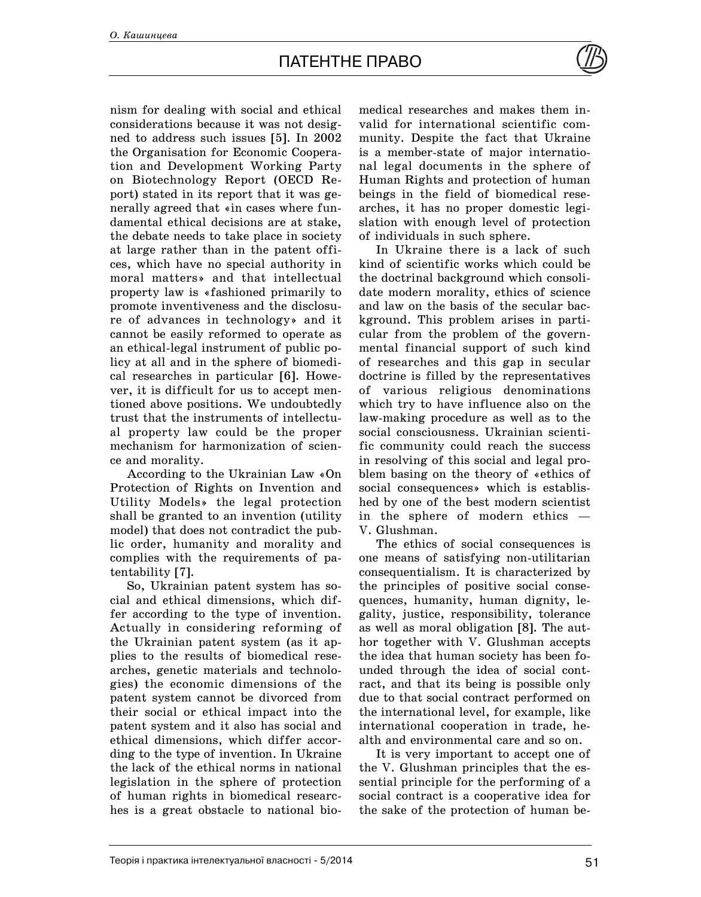nism for dealing with social and ethical considerations because it was not designed to address such issues [5]. In 2002 the Organisation for Economic Cooperation and Development Working Party on Biotechnology Report (OECD Report) stated in its report that it was generally agreed that «in cases where fundamental ethical decisions are at stake, the debate needs to take place in society at large rather than in the patent offices, which have no special authority in moral matters» and that intellectual property law is «fashioned primarily to promote inventiveness and the disclosure of advances in technology» and it cannot be easily reformed to operate as an ethical-legal instrument of public policy at all and in the sphere of biomedical researches in particular [6]. However, it is difficult for us to accept mentioned above positions. We undoubtedly trust that the instruments of intellectual property law could be the proper mechanism for harmonization of science and morality.

According to the Ukrainian Law «On Protection of Rights on Invention and Utility Models» the legal protection shall be granted to an invention (utility model) that does not contradict the public order, humanity and morality and complies with the requirements of patentability [7].

So, Ukrainian patent system has social and ethical dimensions, which differ according to the type of invention. Actually in considering reforming of the Ukrainian patent system (as it applies to the results of biomedical researches, genetic materials and technologies) the economic dimensions of the patent system cannot be divorced from their social or ethical impact into the patent system and it also has social and ethical dimensions, which differ according to the type of invention. In Ukraine the lack of the ethical norms in national legislation in the sphere of protection of human rights in biomedical researches is a great obstacle to national biomedical researches and makes them invalid for international scientific community. Despite the fact that Ukraine is a member-state of major international legal documents in the sphere of Human Rights and protection of human beings in the field of biomedical researches, it has no proper domestic legislation with enough level of protection of individuals in such sphere.

In Ukraine there is a lack of such kind of scientific works which could be the doctrinal background which consolidate modern morality, ethics of science and law on the basis of the secular background. This problem arises in particular from the problem of the governmental financial support of such kind of researches and this gap in secular doctrine is filled by the representatives of various religious denominations which try to have influence also on the law-making procedure as well as to the social consciousness. Ukrainian scientific community could reach the success in resolving of this social and legal problem basing on the theory of «ethics of social consequences» which is established by one of the best modern scientist in the sphere of modern ethics — V. Glushman.

The ethics of social consequences is one means of satisfying non-utilitarian consequentialism. It is characterized by the principles of positive social consequences, humanity, human dignity, legality, justice, responsibility, tolerance as well as moral obligation [8]. The author together with V. Glushman accepts the idea that human society has been founded through the idea of social contract, and that its being is possible only due to that social contract performed on the international level, for example, like international cooperation in trade, health and environmental care and so on.

It is very important to accept one of the V. Glushman principles that the essential principle for the performing of a social contract is a cooperative idea for the sake of the protection of human be-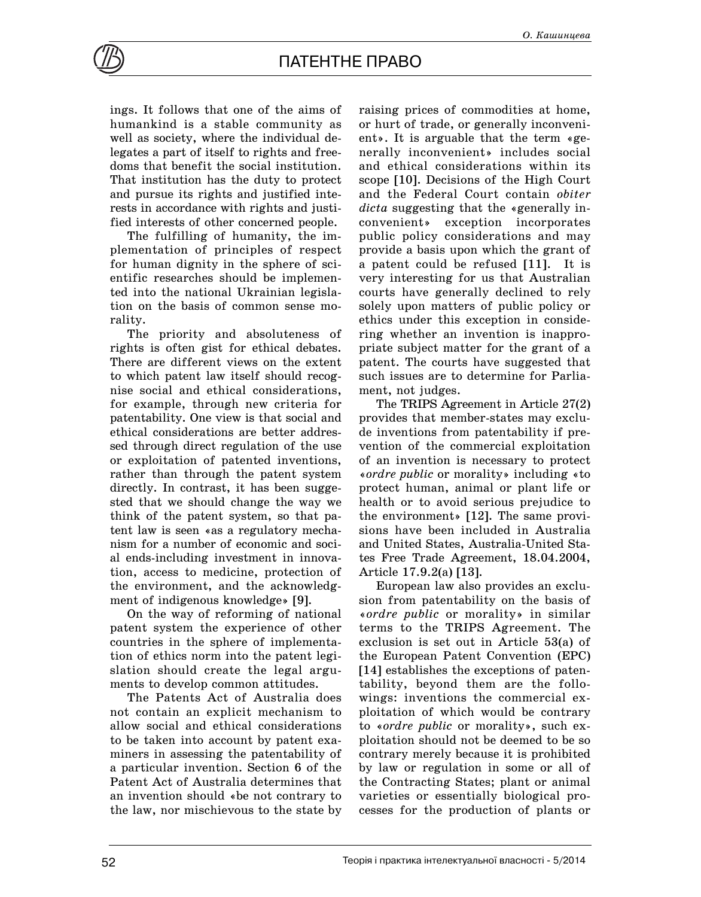

ings. It follows that one of the aims of humankind is a stable community as well as society, where the individual delegates a part of itself to rights and freedoms that benefit the social institution. That institution has the duty to protect and pursue its rights and justified interests in accordance with rights and justified interests of other concerned people.

The fulfilling of humanity, the implementation of principles of respect for human dignity in the sphere of scientific researches should be implemented into the national Ukrainian legislation on the basis of common sense morality.

The priority and absoluteness of rights is often gist for ethical debates. There are different views on the extent to which patent law itself should recognise social and ethical considerations, for example, through new criteria for patentability. One view is that social and ethical considerations are better addressed through direct regulation of the use or exploitation of patented inventions, rather than through the patent system directly. In contrast, it has been suggested that we should change the way we think of the patent system, so that patent law is seen «as a regulatory mechanism for a number of economic and social ends-including investment in innovation, access to medicine, protection of the environment, and the acknowledgment of indigenous knowledge» [9].

On the way of reforming of national patent system the experience of other countries in the sphere of implementation of ethics norm into the patent legislation should create the legal arguments to develop common attitudes.

The Patents Act of Australia does not contain an explicit mechanism to allow social and ethical considerations to be taken into account by patent examiners in assessing the patentability of a particular invention. Section 6 of the Patent Act of Australia determines that an invention should «be not contrary to the law, nor mischievous to the state by

raising prices of commodities at home, or hurt of trade, or generally inconvenient». It is arguable that the term «generally inconvenient» includes social and ethical considerations within its scope [10]. Decisions of the High Court and the Federal Court contain *obiter dicta* suggesting that the «generally inconvenient» exception incorporates public policy considerations and may provide a basis upon which the grant of a patent could be refused [11]. It is very interesting for us that Australian courts have generally declined to rely solely upon matters of public policy or ethics under this exception in considering whether an invention is inappropriate subject matter for the grant of a patent. The courts have suggested that such issues are to determine for Parliament, not judges.

The TRIPS Agreement in Article 27(2) provides that member-states may exclude inventions from patentability if prevention of the commercial exploitation of an invention is necessary to protect «*ordre public* or morality» including «to protect human, animal or plant life or health or to avoid serious prejudice to the environment» [12]. The same provisions have been included in Australia and United States, Australia-United States Free Trade Agreement, 18.04.2004, Article 17.9.2(a) [13].

European law also provides an exclusion from patentability on the basis of «*ordre public* or morality» in similar terms to the TRIPS Agreement. The exclusion is set out in Article 53(a) of the European Patent Convention (EPC) [14] establishes the exceptions of patentability, beyond them are the followings: inventions the commercial exploitation of which would be contrary to «*ordre public* or morality», such exploitation should not be deemed to be so contrary merely because it is prohibited by law or regulation in some or all of the Contracting States; plant or animal varieties or essentially biological processes for the production of plants or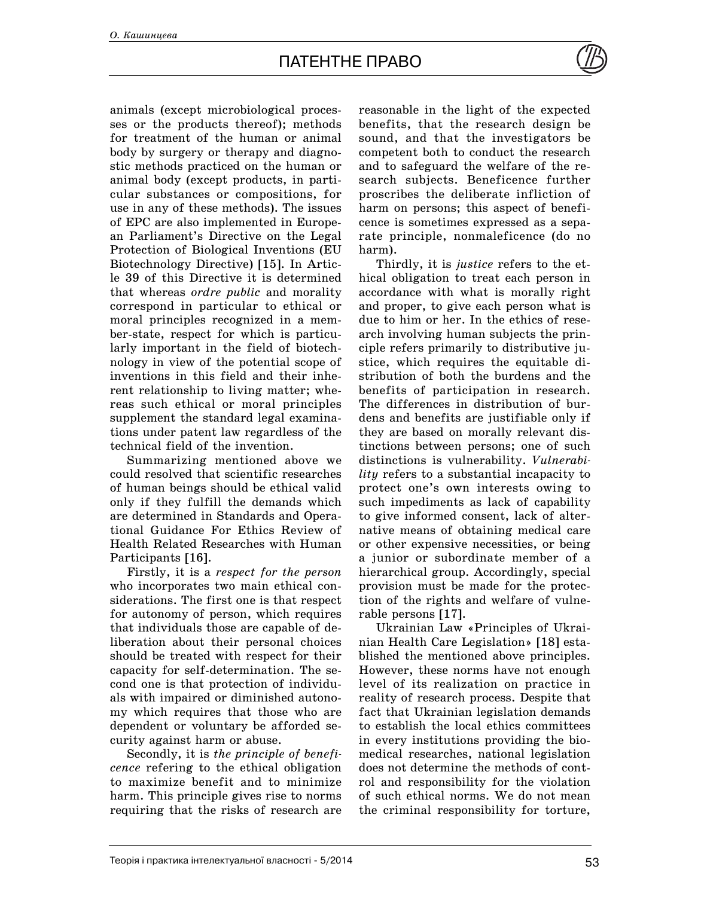animals (except microbiological processes or the products thereof); methods for treatment of the human or animal body by surgery or therapy and diagnostic methods practiced on the human or animal body (except products, in particular substances or compositions, for use in any of these methods). The issues of EPC are also implemented in European Parliament's Directive on the Legal Protection of Biological Inventions (EU Biotechnology Directive) [15]. In Article 39 of this Directive it is determined that whereas *ordre public* and morality correspond in particular to ethical or moral principles recognized in a member-state, respect for which is particularly important in the field of biotechnology in view of the potential scope of inventions in this field and their inherent relationship to living matter; whereas such ethical or moral principles supplement the standard legal examinations under patent law regardless of the technical field of the invention.

Summarizing mentioned above we could resolved that scientific researches of human beings should be ethical valid only if they fulfill the demands which are determined in Standards and Operational Guidance For Ethics Review of Health Related Researches with Human Participants [16].

Firstly, it is a *respect for the person* who incorporates two main ethical considerations. The first one is that respect for autonomy of person, which requires that individuals those are capable of deliberation about their personal choices should be treated with respect for their capacity for self-determination. The second one is that protection of individuals with impaired or diminished autonomy which requires that those who are dependent or voluntary be afforded security against harm or abuse.

Secondly, it is *the principle of beneficence* refering to the ethical obligation to maximize benefit and to minimize harm. This principle gives rise to norms requiring that the risks of research are

reasonable in the light of the expected benefits, that the research design be sound, and that the investigators be competent both to conduct the research and to safeguard the welfare of the research subjects. Beneficence further proscribes the deliberate infliction of harm on persons; this aspect of beneficence is sometimes expressed as a separate principle, nonmaleficence (do no harm).

Thirdly, it is *justice* refers to the ethical obligation to treat each person in accordance with what is morally right and proper, to give each person what is due to him or her. In the ethics of research involving human subjects the principle refers primarily to distributive justice, which requires the equitable distribution of both the burdens and the benefits of participation in research. The differences in distribution of burdens and benefits are justifiable only if they are based on morally relevant distinctions between persons; one of such distinctions is vulnerability. *Vulnerability* refers to a substantial incapacity to protect one's own interests owing to such impediments as lack of capability to give informed consent, lack of alternative means of obtaining medical care or other expensive necessities, or being a junior or subordinate member of a hierarchical group. Accordingly, special provision must be made for the protection of the rights and welfare of vulnerable persons [17].

Ukrainian Law «Principles of Ukrainian Health Care Legislation» [18] established the mentioned above principles. However, these norms have not enough level of its realization on practice in reality of research process. Despite that fact that Ukrainian legislation demands to establish the local ethics committees in every institutions providing the biomedical researches, national legislation does not determine the methods of control and responsibility for the violation of such ethical norms. We do not mean the criminal responsibility for torture,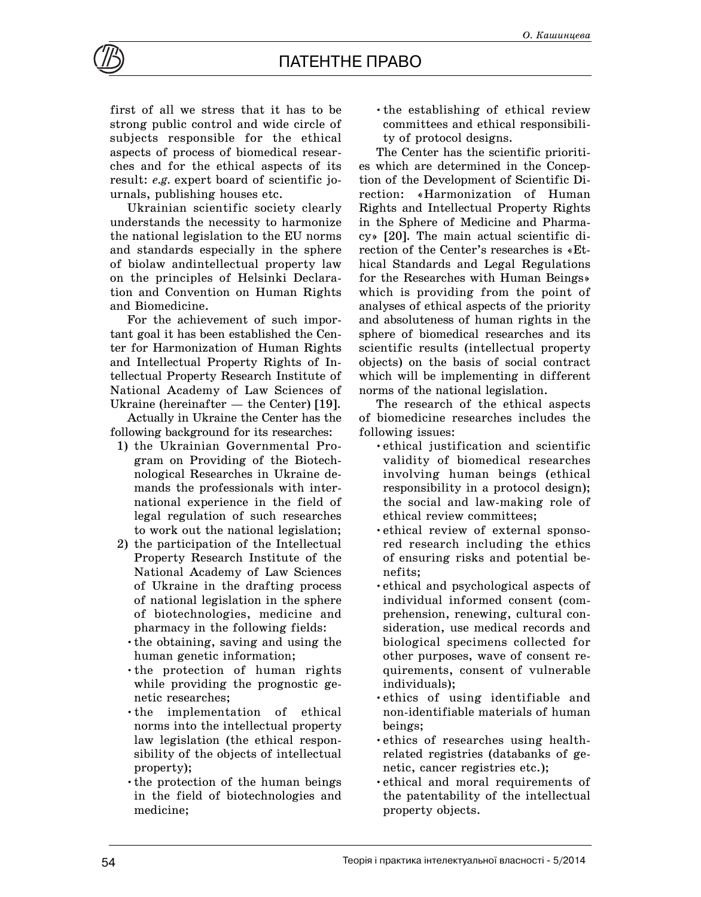

first of all we stress that it has to be strong public control and wide circle of subjects responsible for the ethical aspects of process of biomedical researches and for the ethical aspects of its result: *e.g.* expert board of scientific journals, publishing houses etc.

Ukrainian scientific society clearly understands the necessity to harmonize the national legislation to the EU norms and standards especially in the sphere of biolaw andintellectual property law on the principles of Helsinki Declaration and Convention on Human Rights and Biomedicine.

For the achievement of such important goal it has been established the Center for Harmonization of Human Rights and Intellectual Property Rights of Intellectual Property Research Institute of National Academy of Law Sciences of Ukraine (hereinafter — the Center) [19].

Actually in Ukraine the Center has the following background for its researches:

- 1) the Ukrainian Governmental Program on Providing of the Biotechnological Researches in Ukraine demands the professionals with international experience in the field of legal regulation of such researches to work out the national legislation;
- 2) the participation of the Intellectual Property Research Institute of the National Academy of Law Sciences of Ukraine in the drafting process of national legislation in the sphere of biotechnologies, medicine and pharmacy in the following fields:
	- •the obtaining, saving and using the human genetic information;
	- •the protection of human rights while providing the prognostic genetic researches;
	- •the implementation of ethical norms into the intellectual property law legislation (the ethical responsibility of the objects of intellectual property);
	- •the protection of the human beings in the field of biotechnologies and medicine;

•the establishing of ethical review committees and ethical responsibility of protocol designs.

The Center has the scientific priorities which are determined in the Conception of the Development of Scientific Direction: «Harmonization of Human Rights and Intellectual Property Rights in the Sphere of Medicine and Pharmacy» [20]. The main actual scientific direction of the Center's researches is «Ethical Standards and Legal Regulations for the Researches with Human Beings» which is providing from the point of analyses of ethical aspects of the priority and absoluteness of human rights in the sphere of biomedical researches and its scientific results (intellectual property objects) on the basis of social contract which will be implementing in different norms of the national legislation.

The research of the ethical aspects of biomedicine researches includes the following issues:

- •ethical justification and scientific validity of biomedical researches involving human beings (ethical responsibility in a protocol design); the social and law-making role of ethical review committees;
- •ethical review of external sponsored research including the ethics of ensuring risks and potential benefits;
- •ethical and psychological aspects of individual informed consent (comprehension, renewing, cultural consideration, use medical records and biological specimens collected for other purposes, wave of consent requirements, consent of vulnerable individuals);
- •ethics of using identifiable and non-identifiable materials of human beings;
- •ethics of researches using healthrelated registries (databanks of genetic, cancer registries etc.);
- •ethical and moral requirements of the patentability of the intellectual property objects.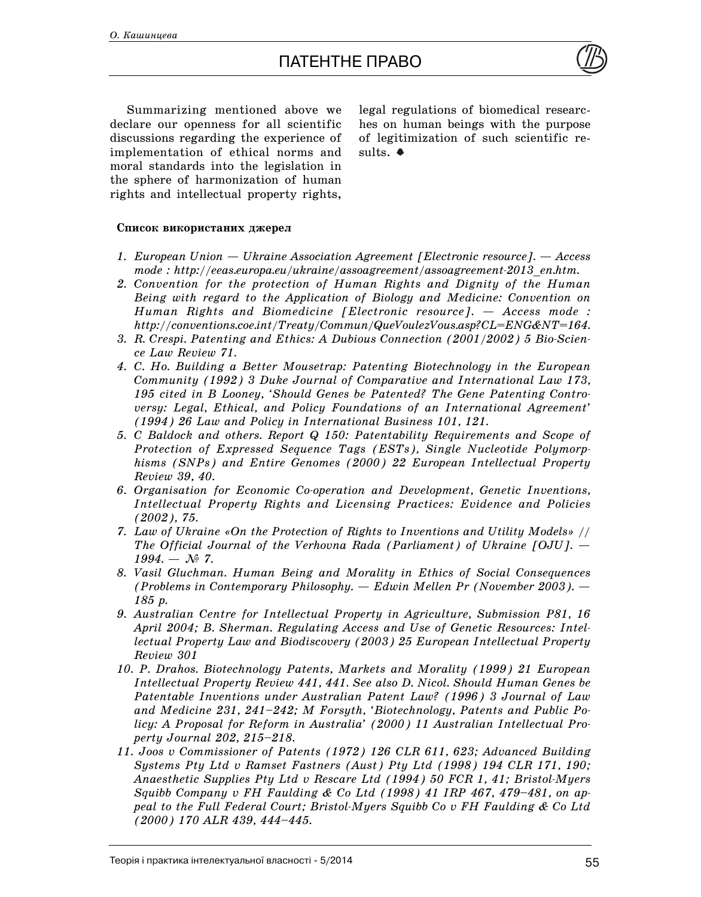

Summarizing mentioned above we declare our openness for all scientific discussions regarding the experience of implementation of ethical norms and moral standards into the legislation in the sphere of harmonization of human rights and intellectual property rights, legal regulations of biomedical researches on human beings with the purpose of legitimization of such scientific results.  $\bullet$ 

## Список використаних джерел

- *1. European Union Ukraine Association Agreement [Electronic resource]. Access mode : http://eeas.europa.eu/ukraine/assoagreement/assoagreement-2013\_en.htm.*
- *2. Convention for the protection of Human Rights and Dignity of the Human Being with regard to the Application of Biology and Medicine: Convention on Human Rights and Biomedicine [Electronic resource]. — Access mode : http://conventions.coe.int/Treaty/Commun/QueVoulezVous.asp?CL=ENG&NT=164.*
- *3. R. Crespi. Patenting and Ethics: A Dubious Connection (2001/2002) 5 Bio-Science Law Review 71.*
- *4. C. Ho. Building a Better Mousetrap: Patenting Biotechnology in the European Community (1992) 3 Duke Journal of Comparative and International Law 173, 195 cited in B Looney, 'Should Genes be Patented? The Gene Patenting Controversy: Legal, Ethical, and Policy Foundations of an International Agreement' (1994) 26 Law and Policy in International Business 101, 121.*
- *5. C Baldock and others. Report Q 150: Patentability Requirements and Scope of Protection of Expressed Sequence Tags (ESTs), Single Nucleotide Polymorphisms (SNPs) and Entire Genomes (2000) 22 European Intellectual Property Review 39, 40.*
- *6. Organisation for Economic Co-operation and Development, Genetic Inventions, Intellectual Property Rights and Licensing Practices: Evidence and Policies (2002), 75.*
- *7. Law of Ukraine «On the Protection of Rights to Inventions and Utility Models» // The Official Journal of the Verhovna Rada (Parliament) of Ukraine [OJU]. —*  $1994. - N_{\rm P}$  7.
- *8. Vasil Gluchman. Human Being and Morality in Ethics of Social Consequences (Problems in Contemporary Philosophy. — Edwin Mellen Pr (November 2003). — 185 p.*
- *9. Australian Centre for Intellectual Property in Agriculture, Submission P81, 16 April 2004; B. Sherman. Regulating Access and Use of Genetic Resources: Intellectual Property Law and Biodiscovery (2003) 25 European Intellectual Property Review 301*
- *10. P. Drahos. Biotechnology Patents, Markets and Morality (1999) 21 European Intellectual Property Review 441, 441. See also D. Nicol. Should Human Genes be Patentable Inventions under Australian Patent Law? (1996) 3 Journal of Law and Medicine 231, 241–242; M Forsyth, 'Biotechnology, Patents and Public Policy: A Proposal for Reform in Australia' (2000) 11 Australian Intellectual Property Journal 202, 215–218.*
- *11. Joos v Commissioner of Patents (1972) 126 CLR 611, 623; Advanced Building Systems Pty Ltd v Ramset Fastners (Aust) Pty Ltd (1998) 194 CLR 171, 190; Anaesthetic Supplies Pty Ltd v Rescare Ltd (1994) 50 FCR 1, 41; Bristol-Myers Squibb Company v FH Faulding & Co Ltd (1998) 41 IRP 467, 479–481, on appeal to the Full Federal Court; Bristol-Myers Squibb Co v FH Faulding & Co Ltd (2000) 170 ALR 439, 444–445.*